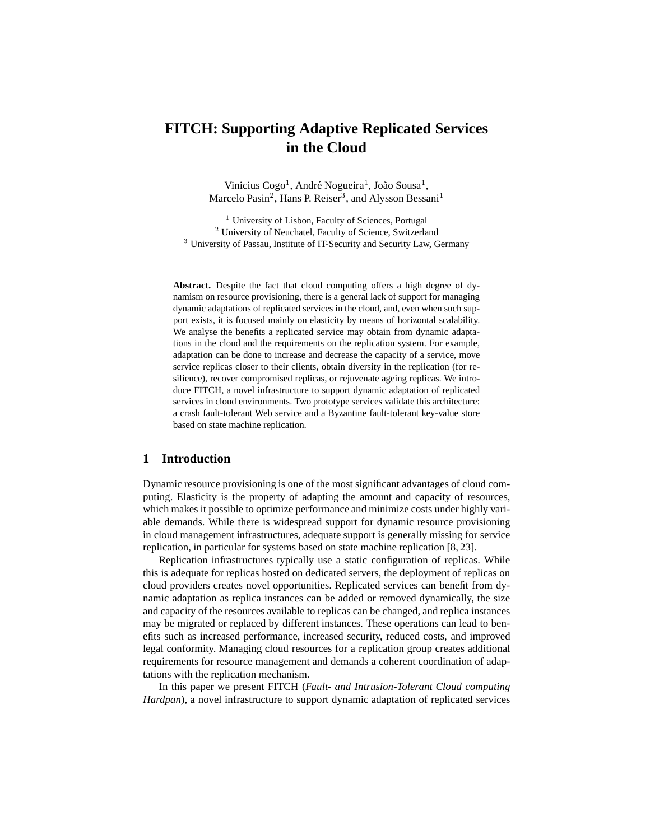# **FITCH: Supporting Adaptive Replicated Services in the Cloud**

Vinicius Cogo<sup>1</sup>, André Nogueira<sup>1</sup>, João Sousa<sup>1</sup>, Marcelo Pasin<sup>2</sup>, Hans P. Reiser<sup>3</sup>, and Alysson Bessani<sup>1</sup>

<sup>1</sup> University of Lisbon, Faculty of Sciences, Portugal <sup>2</sup> University of Neuchatel, Faculty of Science, Switzerland <sup>3</sup> University of Passau, Institute of IT-Security and Security Law, Germany

**Abstract.** Despite the fact that cloud computing offers a high degree of dynamism on resource provisioning, there is a general lack of support for managing dynamic adaptations of replicated services in the cloud, and, even when such support exists, it is focused mainly on elasticity by means of horizontal scalability. We analyse the benefits a replicated service may obtain from dynamic adaptations in the cloud and the requirements on the replication system. For example, adaptation can be done to increase and decrease the capacity of a service, move service replicas closer to their clients, obtain diversity in the replication (for resilience), recover compromised replicas, or rejuvenate ageing replicas. We introduce FITCH, a novel infrastructure to support dynamic adaptation of replicated services in cloud environments. Two prototype services validate this architecture: a crash fault-tolerant Web service and a Byzantine fault-tolerant key-value store based on state machine replication.

### **1 Introduction**

Dynamic resource provisioning is one of the most significant advantages of cloud computing. Elasticity is the property of adapting the amount and capacity of resources, which makes it possible to optimize performance and minimize costs under highly variable demands. While there is widespread support for dynamic resource provisioning in cloud management infrastructures, adequate support is generally missing for service replication, in particular for systems based on state machine replication [8, 23].

Replication infrastructures typically use a static configuration of replicas. While this is adequate for replicas hosted on dedicated servers, the deployment of replicas on cloud providers creates novel opportunities. Replicated services can benefit from dynamic adaptation as replica instances can be added or removed dynamically, the size and capacity of the resources available to replicas can be changed, and replica instances may be migrated or replaced by different instances. These operations can lead to benefits such as increased performance, increased security, reduced costs, and improved legal conformity. Managing cloud resources for a replication group creates additional requirements for resource management and demands a coherent coordination of adaptations with the replication mechanism.

In this paper we present FITCH (*Fault- and Intrusion-Tolerant Cloud computing Hardpan*), a novel infrastructure to support dynamic adaptation of replicated services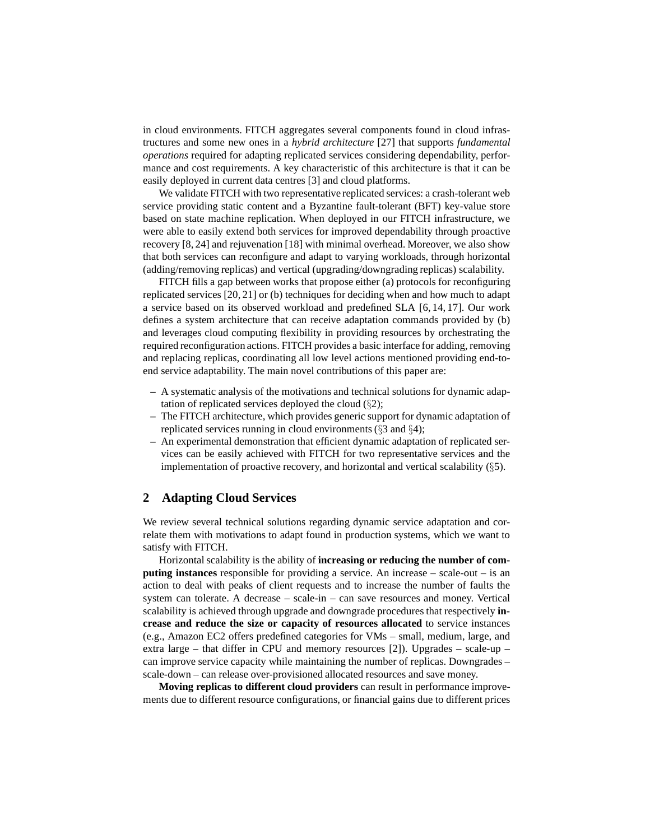in cloud environments. FITCH aggregates several components found in cloud infrastructures and some new ones in a *hybrid architecture* [27] that supports *fundamental operations* required for adapting replicated services considering dependability, performance and cost requirements. A key characteristic of this architecture is that it can be easily deployed in current data centres [3] and cloud platforms.

We validate FITCH with two representative replicated services: a crash-tolerant web service providing static content and a Byzantine fault-tolerant (BFT) key-value store based on state machine replication. When deployed in our FITCH infrastructure, we were able to easily extend both services for improved dependability through proactive recovery [8, 24] and rejuvenation [18] with minimal overhead. Moreover, we also show that both services can reconfigure and adapt to varying workloads, through horizontal (adding/removing replicas) and vertical (upgrading/downgrading replicas) scalability.

FITCH fills a gap between works that propose either (a) protocols for reconfiguring replicated services [20, 21] or (b) techniques for deciding when and how much to adapt a service based on its observed workload and predefined SLA [6, 14, 17]. Our work defines a system architecture that can receive adaptation commands provided by (b) and leverages cloud computing flexibility in providing resources by orchestrating the required reconfiguration actions. FITCH provides a basic interface for adding, removing and replacing replicas, coordinating all low level actions mentioned providing end-toend service adaptability. The main novel contributions of this paper are:

- **–** A systematic analysis of the motivations and technical solutions for dynamic adaptation of replicated services deployed the cloud  $(\S2)$ ;
- **–** The FITCH architecture, which provides generic support for dynamic adaptation of replicated services running in cloud environments ( $\S$ 3 and  $\S$ 4);
- **–** An experimental demonstration that efficient dynamic adaptation of replicated services can be easily achieved with FITCH for two representative services and the implementation of proactive recovery, and horizontal and vertical scalability (§5).

# **2 Adapting Cloud Services**

We review several technical solutions regarding dynamic service adaptation and correlate them with motivations to adapt found in production systems, which we want to satisfy with FITCH.

Horizontal scalability is the ability of **increasing or reducing the number of computing instances** responsible for providing a service. An increase – scale-out – is an action to deal with peaks of client requests and to increase the number of faults the system can tolerate. A decrease – scale-in – can save resources and money. Vertical scalability is achieved through upgrade and downgrade procedures that respectively **increase and reduce the size or capacity of resources allocated** to service instances (e.g., Amazon EC2 offers predefined categories for VMs – small, medium, large, and extra large – that differ in CPU and memory resources [2]). Upgrades – scale-up – can improve service capacity while maintaining the number of replicas. Downgrades – scale-down – can release over-provisioned allocated resources and save money.

**Moving replicas to different cloud providers** can result in performance improvements due to different resource configurations, or financial gains due to different prices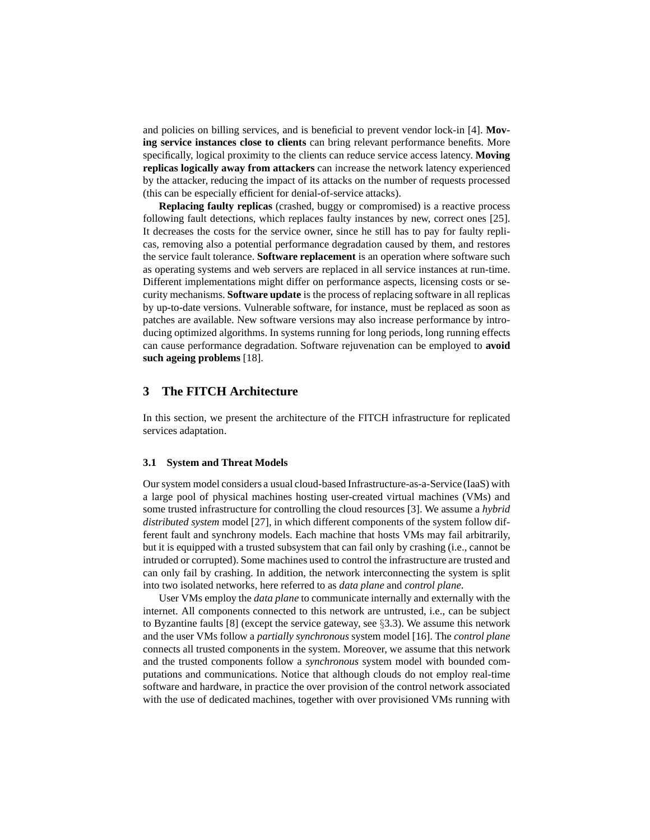and policies on billing services, and is beneficial to prevent vendor lock-in [4]. **Moving service instances close to clients** can bring relevant performance benefits. More specifically, logical proximity to the clients can reduce service access latency. **Moving replicas logically away from attackers** can increase the network latency experienced by the attacker, reducing the impact of its attacks on the number of requests processed (this can be especially efficient for denial-of-service attacks).

**Replacing faulty replicas** (crashed, buggy or compromised) is a reactive process following fault detections, which replaces faulty instances by new, correct ones [25]. It decreases the costs for the service owner, since he still has to pay for faulty replicas, removing also a potential performance degradation caused by them, and restores the service fault tolerance. **Software replacement** is an operation where software such as operating systems and web servers are replaced in all service instances at run-time. Different implementations might differ on performance aspects, licensing costs or security mechanisms. **Software update** is the process of replacing software in all replicas by up-to-date versions. Vulnerable software, for instance, must be replaced as soon as patches are available. New software versions may also increase performance by introducing optimized algorithms. In systems running for long periods, long running effects can cause performance degradation. Software rejuvenation can be employed to **avoid such ageing problems** [18].

# **3 The FITCH Architecture**

In this section, we present the architecture of the FITCH infrastructure for replicated services adaptation.

#### **3.1 System and Threat Models**

Our system model considers a usual cloud-based Infrastructure-as-a-Service (IaaS) with a large pool of physical machines hosting user-created virtual machines (VMs) and some trusted infrastructure for controlling the cloud resources [3]. We assume a *hybrid distributed system* model [27], in which different components of the system follow different fault and synchrony models. Each machine that hosts VMs may fail arbitrarily, but it is equipped with a trusted subsystem that can fail only by crashing (i.e., cannot be intruded or corrupted). Some machines used to control the infrastructure are trusted and can only fail by crashing. In addition, the network interconnecting the system is split into two isolated networks, here referred to as *data plane* and *control plane*.

User VMs employ the *data plane* to communicate internally and externally with the internet. All components connected to this network are untrusted, i.e., can be subject to Byzantine faults [8] (except the service gateway, see §3.3). We assume this network and the user VMs follow a *partially synchronous* system model [16]. The *control plane* connects all trusted components in the system. Moreover, we assume that this network and the trusted components follow a *synchronous* system model with bounded computations and communications. Notice that although clouds do not employ real-time software and hardware, in practice the over provision of the control network associated with the use of dedicated machines, together with over provisioned VMs running with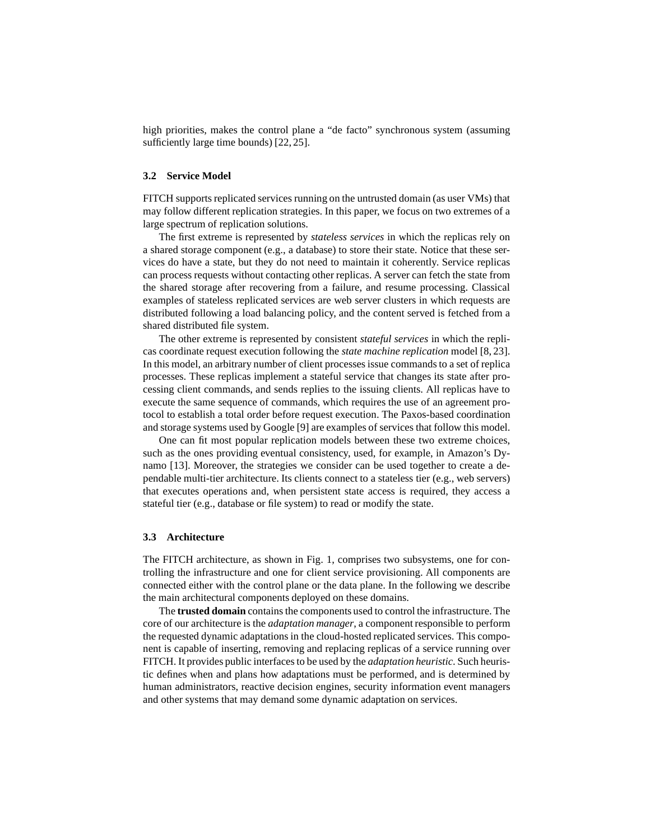high priorities, makes the control plane a "de facto" synchronous system (assuming sufficiently large time bounds) [22, 25].

### **3.2 Service Model**

FITCH supports replicated services running on the untrusted domain (as user VMs) that may follow different replication strategies. In this paper, we focus on two extremes of a large spectrum of replication solutions.

The first extreme is represented by *stateless services* in which the replicas rely on a shared storage component (e.g., a database) to store their state. Notice that these services do have a state, but they do not need to maintain it coherently. Service replicas can process requests without contacting other replicas. A server can fetch the state from the shared storage after recovering from a failure, and resume processing. Classical examples of stateless replicated services are web server clusters in which requests are distributed following a load balancing policy, and the content served is fetched from a shared distributed file system.

The other extreme is represented by consistent *stateful services* in which the replicas coordinate request execution following the *state machine replication* model [8, 23]. In this model, an arbitrary number of client processes issue commands to a set of replica processes. These replicas implement a stateful service that changes its state after processing client commands, and sends replies to the issuing clients. All replicas have to execute the same sequence of commands, which requires the use of an agreement protocol to establish a total order before request execution. The Paxos-based coordination and storage systems used by Google [9] are examples of services that follow this model.

One can fit most popular replication models between these two extreme choices, such as the ones providing eventual consistency, used, for example, in Amazon's Dynamo [13]. Moreover, the strategies we consider can be used together to create a dependable multi-tier architecture. Its clients connect to a stateless tier (e.g., web servers) that executes operations and, when persistent state access is required, they access a stateful tier (e.g., database or file system) to read or modify the state.

### **3.3 Architecture**

The FITCH architecture, as shown in Fig. 1, comprises two subsystems, one for controlling the infrastructure and one for client service provisioning. All components are connected either with the control plane or the data plane. In the following we describe the main architectural components deployed on these domains.

The **trusted domain** contains the components used to control the infrastructure. The core of our architecture is the *adaptation manager*, a component responsible to perform the requested dynamic adaptations in the cloud-hosted replicated services. This component is capable of inserting, removing and replacing replicas of a service running over FITCH. It provides public interfaces to be used by the *adaptation heuristic*. Such heuristic defines when and plans how adaptations must be performed, and is determined by human administrators, reactive decision engines, security information event managers and other systems that may demand some dynamic adaptation on services.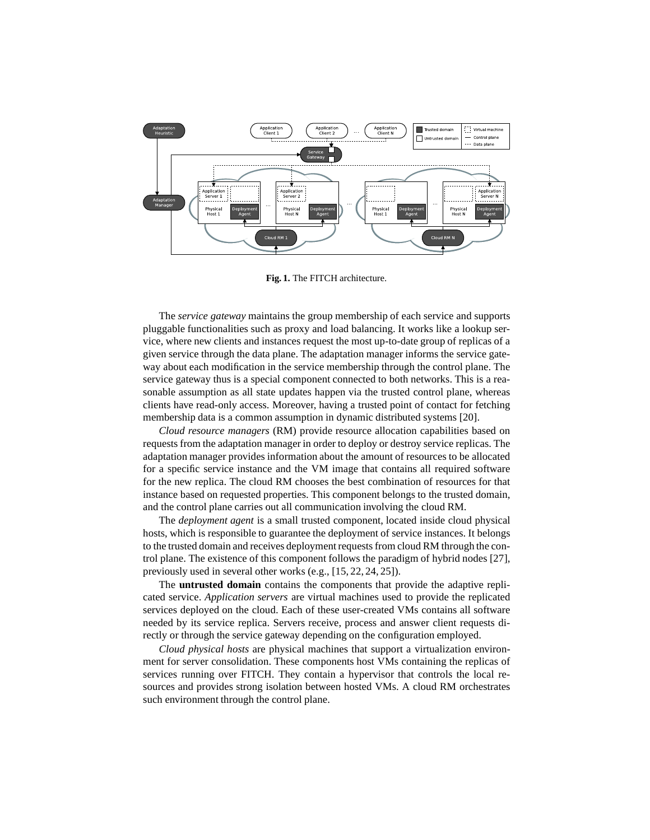

**Fig. 1.** The FITCH architecture.

The *service gateway* maintains the group membership of each service and supports pluggable functionalities such as proxy and load balancing. It works like a lookup service, where new clients and instances request the most up-to-date group of replicas of a given service through the data plane. The adaptation manager informs the service gateway about each modification in the service membership through the control plane. The service gateway thus is a special component connected to both networks. This is a reasonable assumption as all state updates happen via the trusted control plane, whereas clients have read-only access. Moreover, having a trusted point of contact for fetching membership data is a common assumption in dynamic distributed systems [20].

*Cloud resource managers* (RM) provide resource allocation capabilities based on requests from the adaptation manager in order to deploy or destroy service replicas. The adaptation manager provides information about the amount of resources to be allocated for a specific service instance and the VM image that contains all required software for the new replica. The cloud RM chooses the best combination of resources for that instance based on requested properties. This component belongs to the trusted domain, and the control plane carries out all communication involving the cloud RM.

The *deployment agent* is a small trusted component, located inside cloud physical hosts, which is responsible to guarantee the deployment of service instances. It belongs to the trusted domain and receives deployment requests from cloud RM through the control plane. The existence of this component follows the paradigm of hybrid nodes [27], previously used in several other works (e.g., [15, 22, 24, 25]).

The **untrusted domain** contains the components that provide the adaptive replicated service. *Application servers* are virtual machines used to provide the replicated services deployed on the cloud. Each of these user-created VMs contains all software needed by its service replica. Servers receive, process and answer client requests directly or through the service gateway depending on the configuration employed.

*Cloud physical hosts* are physical machines that support a virtualization environment for server consolidation. These components host VMs containing the replicas of services running over FITCH. They contain a hypervisor that controls the local resources and provides strong isolation between hosted VMs. A cloud RM orchestrates such environment through the control plane.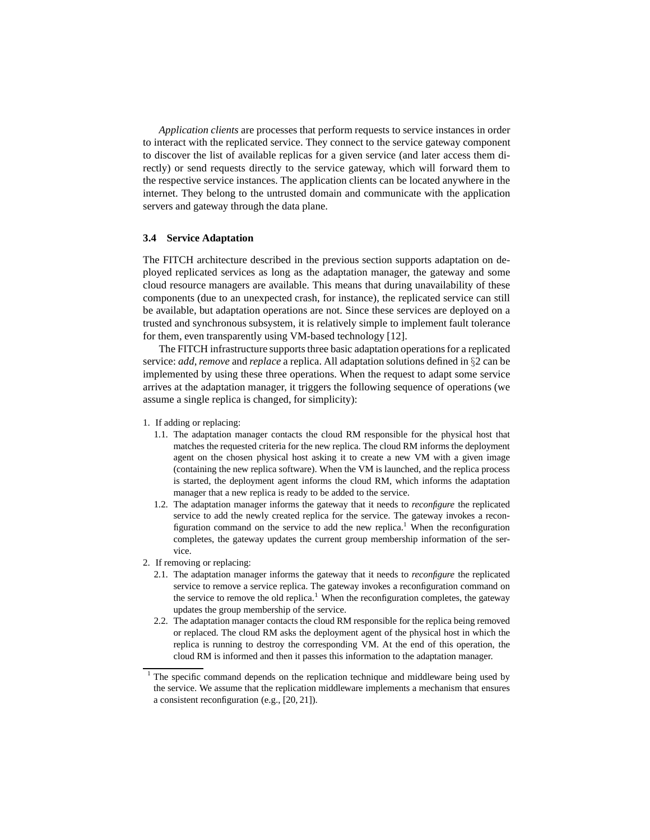*Application clients* are processes that perform requests to service instances in order to interact with the replicated service. They connect to the service gateway component to discover the list of available replicas for a given service (and later access them directly) or send requests directly to the service gateway, which will forward them to the respective service instances. The application clients can be located anywhere in the internet. They belong to the untrusted domain and communicate with the application servers and gateway through the data plane.

### **3.4 Service Adaptation**

The FITCH architecture described in the previous section supports adaptation on deployed replicated services as long as the adaptation manager, the gateway and some cloud resource managers are available. This means that during unavailability of these components (due to an unexpected crash, for instance), the replicated service can still be available, but adaptation operations are not. Since these services are deployed on a trusted and synchronous subsystem, it is relatively simple to implement fault tolerance for them, even transparently using VM-based technology [12].

The FITCH infrastructure supports three basic adaptation operations for a replicated service: *add*, *remove* and *replace* a replica. All adaptation solutions defined in §2 can be implemented by using these three operations. When the request to adapt some service arrives at the adaptation manager, it triggers the following sequence of operations (we assume a single replica is changed, for simplicity):

1. If adding or replacing:

- 1.1. The adaptation manager contacts the cloud RM responsible for the physical host that matches the requested criteria for the new replica. The cloud RM informs the deployment agent on the chosen physical host asking it to create a new VM with a given image (containing the new replica software). When the VM is launched, and the replica process is started, the deployment agent informs the cloud RM, which informs the adaptation manager that a new replica is ready to be added to the service.
- 1.2. The adaptation manager informs the gateway that it needs to *reconfigure* the replicated service to add the newly created replica for the service. The gateway invokes a reconfiguration command on the service to add the new replica.<sup>1</sup> When the reconfiguration completes, the gateway updates the current group membership information of the service.
- 2. If removing or replacing:
	- 2.1. The adaptation manager informs the gateway that it needs to *reconfigure* the replicated service to remove a service replica. The gateway invokes a reconfiguration command on the service to remove the old replica.<sup>1</sup> When the reconfiguration completes, the gateway updates the group membership of the service.
	- 2.2. The adaptation manager contacts the cloud RM responsible for the replica being removed or replaced. The cloud RM asks the deployment agent of the physical host in which the replica is running to destroy the corresponding VM. At the end of this operation, the cloud RM is informed and then it passes this information to the adaptation manager.

<sup>&</sup>lt;sup>1</sup> The specific command depends on the replication technique and middleware being used by the service. We assume that the replication middleware implements a mechanism that ensures a consistent reconfiguration (e.g., [20, 21]).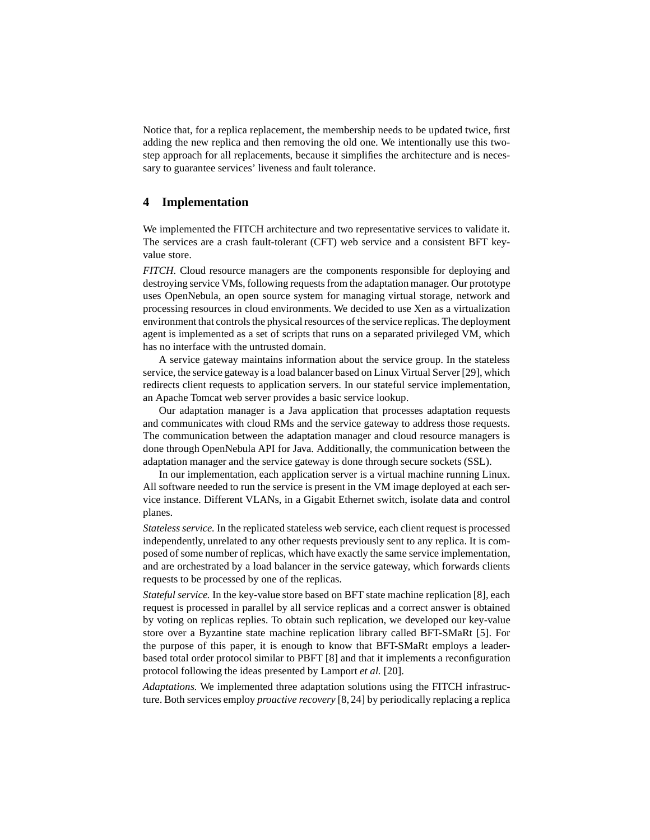Notice that, for a replica replacement, the membership needs to be updated twice, first adding the new replica and then removing the old one. We intentionally use this twostep approach for all replacements, because it simplifies the architecture and is necessary to guarantee services' liveness and fault tolerance.

# **4 Implementation**

We implemented the FITCH architecture and two representative services to validate it. The services are a crash fault-tolerant (CFT) web service and a consistent BFT keyvalue store.

*FITCH.* Cloud resource managers are the components responsible for deploying and destroying service VMs, following requests from the adaptation manager. Our prototype uses OpenNebula, an open source system for managing virtual storage, network and processing resources in cloud environments. We decided to use Xen as a virtualization environment that controls the physical resources of the service replicas. The deployment agent is implemented as a set of scripts that runs on a separated privileged VM, which has no interface with the untrusted domain.

A service gateway maintains information about the service group. In the stateless service, the service gateway is a load balancer based on Linux Virtual Server [29], which redirects client requests to application servers. In our stateful service implementation, an Apache Tomcat web server provides a basic service lookup.

Our adaptation manager is a Java application that processes adaptation requests and communicates with cloud RMs and the service gateway to address those requests. The communication between the adaptation manager and cloud resource managers is done through OpenNebula API for Java. Additionally, the communication between the adaptation manager and the service gateway is done through secure sockets (SSL).

In our implementation, each application server is a virtual machine running Linux. All software needed to run the service is present in the VM image deployed at each service instance. Different VLANs, in a Gigabit Ethernet switch, isolate data and control planes.

*Stateless service.* In the replicated stateless web service, each client request is processed independently, unrelated to any other requests previously sent to any replica. It is composed of some number of replicas, which have exactly the same service implementation, and are orchestrated by a load balancer in the service gateway, which forwards clients requests to be processed by one of the replicas.

*Stateful service.* In the key-value store based on BFT state machine replication [8], each request is processed in parallel by all service replicas and a correct answer is obtained by voting on replicas replies. To obtain such replication, we developed our key-value store over a Byzantine state machine replication library called BFT-SMaRt [5]. For the purpose of this paper, it is enough to know that BFT-SMaRt employs a leaderbased total order protocol similar to PBFT [8] and that it implements a reconfiguration protocol following the ideas presented by Lamport *et al.* [20].

*Adaptations.* We implemented three adaptation solutions using the FITCH infrastructure. Both services employ *proactive recovery* [8, 24] by periodically replacing a replica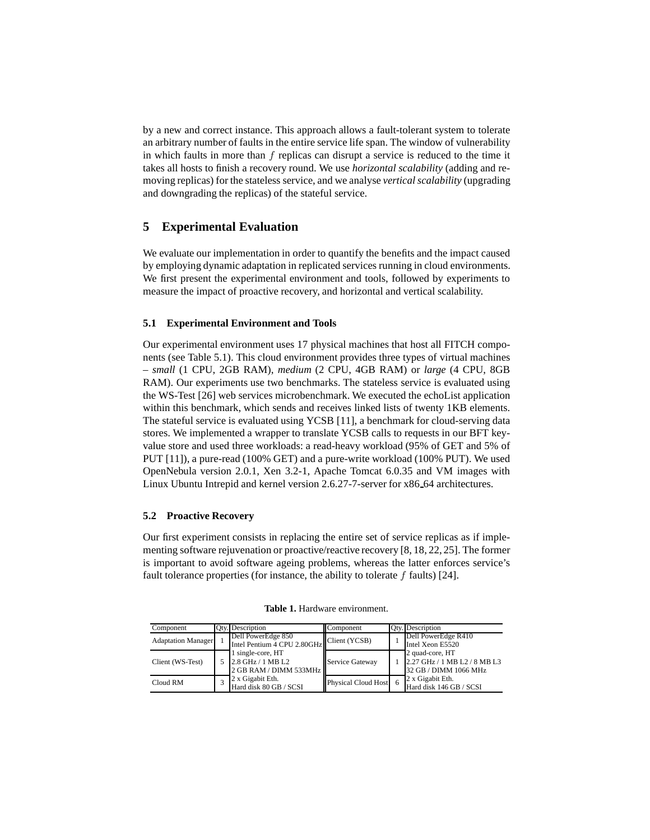by a new and correct instance. This approach allows a fault-tolerant system to tolerate an arbitrary number of faults in the entire service life span. The window of vulnerability in which faults in more than  $f$  replicas can disrupt a service is reduced to the time it takes all hosts to finish a recovery round. We use *horizontal scalability* (adding and removing replicas) for the stateless service, and we analyse *vertical scalability* (upgrading and downgrading the replicas) of the stateful service.

# **5 Experimental Evaluation**

We evaluate our implementation in order to quantify the benefits and the impact caused by employing dynamic adaptation in replicated services running in cloud environments. We first present the experimental environment and tools, followed by experiments to measure the impact of proactive recovery, and horizontal and vertical scalability.

### **5.1 Experimental Environment and Tools**

Our experimental environment uses 17 physical machines that host all FITCH components (see Table 5.1). This cloud environment provides three types of virtual machines – *small* (1 CPU, 2GB RAM), *medium* (2 CPU, 4GB RAM) or *large* (4 CPU, 8GB RAM). Our experiments use two benchmarks. The stateless service is evaluated using the WS-Test [26] web services microbenchmark. We executed the echoList application within this benchmark, which sends and receives linked lists of twenty 1KB elements. The stateful service is evaluated using YCSB [11], a benchmark for cloud-serving data stores. We implemented a wrapper to translate YCSB calls to requests in our BFT keyvalue store and used three workloads: a read-heavy workload (95% of GET and 5% of PUT [11]), a pure-read (100% GET) and a pure-write workload (100% PUT). We used OpenNebula version 2.0.1, Xen 3.2-1, Apache Tomcat 6.0.35 and VM images with Linux Ubuntu Intrepid and kernel version 2.6.27-7-server for x86\_64 architectures.

### **5.2 Proactive Recovery**

Our first experiment consists in replacing the entire set of service replicas as if implementing software rejuvenation or proactive/reactive recovery [8, 18, 22, 25]. The former is important to avoid software ageing problems, whereas the latter enforces service's fault tolerance properties (for instance, the ability to tolerate  $f$  faults) [24].

| Component                 | Oty. Description                                                 | Component             | Oty. Description                                                         |
|---------------------------|------------------------------------------------------------------|-----------------------|--------------------------------------------------------------------------|
| <b>Adaptation Manager</b> | Dell PowerEdge 850<br>Intel Pentium 4 CPU 2.80GHz Client (YCSB)  |                       | Dell PowerEdge R410<br>Intel Xeon E5520                                  |
| Client (WS-Test)          | 1 single-core, HT<br>2.8 GHz / 1 MB L2<br>2 GB RAM / DIMM 533MHz | Service Gateway       | 2 quad-core, HT<br>2.27 GHz / 1 MB L2 / 8 MB L3<br>32 GB / DIMM 1066 MHz |
| Cloud RM                  | 2 x Gigabit Eth.<br>Hard disk 80 GB / SCSI                       | Physical Cloud Host 6 | 2 x Gigabit Eth.<br>Hard disk 146 GB / SCSI                              |

**Table 1.** Hardware environment.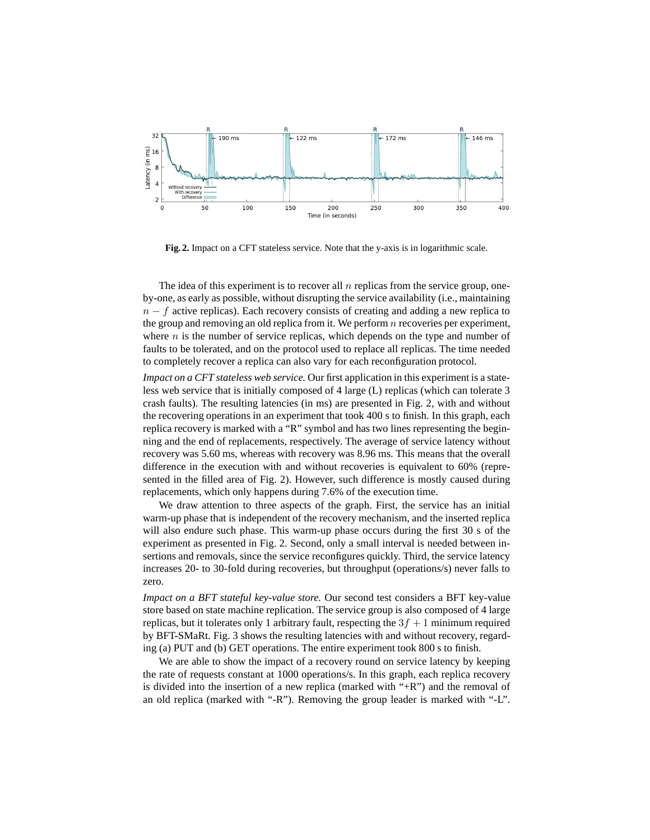

**Fig. 2.** Impact on a CFT stateless service. Note that the y-axis is in logarithmic scale.

The idea of this experiment is to recover all  $n$  replicas from the service group, oneby-one, as early as possible, without disrupting the service availability (i.e., maintaining  $n - f$  active replicas). Each recovery consists of creating and adding a new replica to the group and removing an old replica from it. We perform  $n$  recoveries per experiment, where  $n$  is the number of service replicas, which depends on the type and number of faults to be tolerated, and on the protocol used to replace all replicas. The time needed to completely recover a replica can also vary for each reconfiguration protocol.

*Impact on a CFT stateless web service.* Our first application in this experiment is a stateless web service that is initially composed of 4 large (L) replicas (which can tolerate 3 crash faults). The resulting latencies (in ms) are presented in Fig. 2, with and without the recovering operations in an experiment that took 400 s to finish. In this graph, each replica recovery is marked with a "R" symbol and has two lines representing the beginning and the end of replacements, respectively. The average of service latency without recovery was 5.60 ms, whereas with recovery was 8.96 ms. This means that the overall difference in the execution with and without recoveries is equivalent to 60% (represented in the filled area of Fig. 2). However, such difference is mostly caused during replacements, which only happens during 7.6% of the execution time.

We draw attention to three aspects of the graph. First, the service has an initial warm-up phase that is independent of the recovery mechanism, and the inserted replica will also endure such phase. This warm-up phase occurs during the first 30 s of the experiment as presented in Fig. 2. Second, only a small interval is needed between insertions and removals, since the service reconfigures quickly. Third, the service latency increases 20- to 30-fold during recoveries, but throughput (operations/s) never falls to zero.

*Impact on a BFT stateful key-value store.* Our second test considers a BFT key-value store based on state machine replication. The service group is also composed of 4 large replicas, but it tolerates only 1 arbitrary fault, respecting the  $3f + 1$  minimum required by BFT-SMaRt. Fig. 3 shows the resulting latencies with and without recovery, regarding (a) PUT and (b) GET operations. The entire experiment took 800 s to finish.

We are able to show the impact of a recovery round on service latency by keeping the rate of requests constant at 1000 operations/s. In this graph, each replica recovery is divided into the insertion of a new replica (marked with "+R") and the removal of an old replica (marked with "-R"). Removing the group leader is marked with "-L".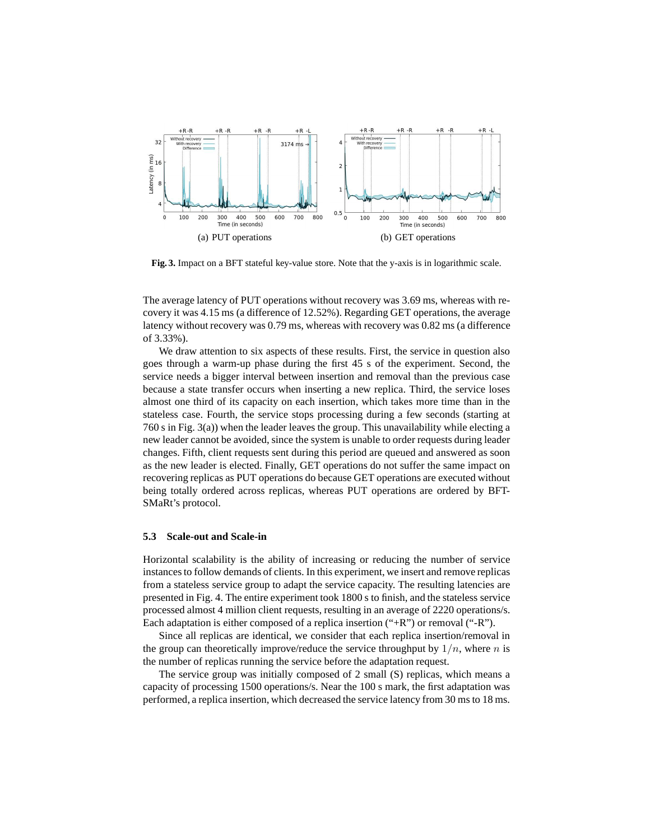

**Fig. 3.** Impact on a BFT stateful key-value store. Note that the y-axis is in logarithmic scale.

The average latency of PUT operations without recovery was 3.69 ms, whereas with recovery it was 4.15 ms (a difference of 12.52%). Regarding GET operations, the average latency without recovery was 0.79 ms, whereas with recovery was 0.82 ms (a difference of 3.33%).

We draw attention to six aspects of these results. First, the service in question also goes through a warm-up phase during the first 45 s of the experiment. Second, the service needs a bigger interval between insertion and removal than the previous case because a state transfer occurs when inserting a new replica. Third, the service loses almost one third of its capacity on each insertion, which takes more time than in the stateless case. Fourth, the service stops processing during a few seconds (starting at 760 s in Fig. 3(a)) when the leader leaves the group. This unavailability while electing a new leader cannot be avoided, since the system is unable to order requests during leader changes. Fifth, client requests sent during this period are queued and answered as soon as the new leader is elected. Finally, GET operations do not suffer the same impact on recovering replicas as PUT operations do because GET operations are executed without being totally ordered across replicas, whereas PUT operations are ordered by BFT-SMaRt's protocol.

### **5.3 Scale-out and Scale-in**

Horizontal scalability is the ability of increasing or reducing the number of service instances to follow demands of clients. In this experiment, we insert and remove replicas from a stateless service group to adapt the service capacity. The resulting latencies are presented in Fig. 4. The entire experiment took 1800 s to finish, and the stateless service processed almost 4 million client requests, resulting in an average of 2220 operations/s. Each adaptation is either composed of a replica insertion ("+R") or removal ("-R").

Since all replicas are identical, we consider that each replica insertion/removal in the group can theoretically improve/reduce the service throughput by  $1/n$ , where n is the number of replicas running the service before the adaptation request.

The service group was initially composed of 2 small (S) replicas, which means a capacity of processing 1500 operations/s. Near the 100 s mark, the first adaptation was performed, a replica insertion, which decreased the service latency from 30 ms to 18 ms.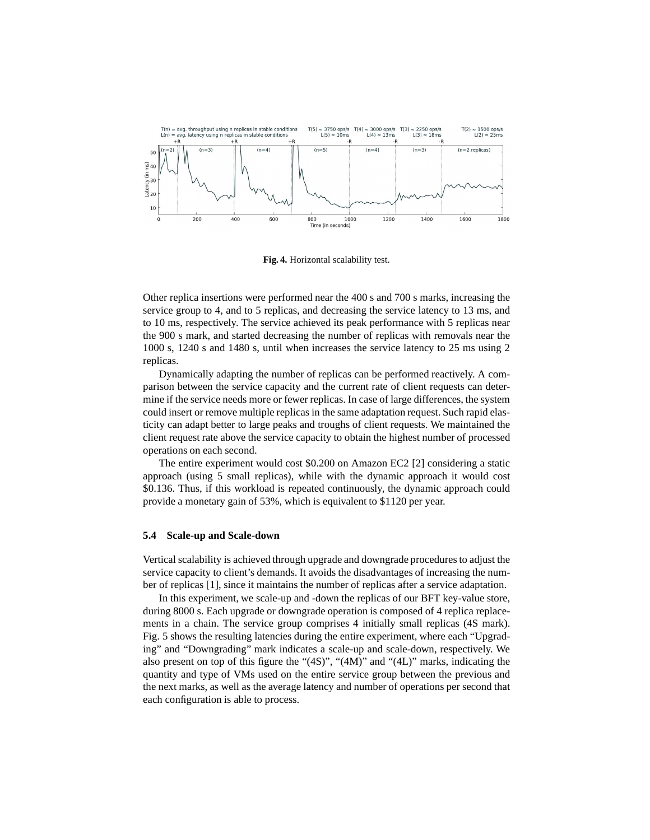

**Fig. 4.** Horizontal scalability test.

Other replica insertions were performed near the 400 s and 700 s marks, increasing the service group to 4, and to 5 replicas, and decreasing the service latency to 13 ms, and to 10 ms, respectively. The service achieved its peak performance with 5 replicas near the 900 s mark, and started decreasing the number of replicas with removals near the 1000 s, 1240 s and 1480 s, until when increases the service latency to 25 ms using 2 replicas.

Dynamically adapting the number of replicas can be performed reactively. A comparison between the service capacity and the current rate of client requests can determine if the service needs more or fewer replicas. In case of large differences, the system could insert or remove multiple replicas in the same adaptation request. Such rapid elasticity can adapt better to large peaks and troughs of client requests. We maintained the client request rate above the service capacity to obtain the highest number of processed operations on each second.

The entire experiment would cost \$0.200 on Amazon EC2 [2] considering a static approach (using 5 small replicas), while with the dynamic approach it would cost \$0.136. Thus, if this workload is repeated continuously, the dynamic approach could provide a monetary gain of 53%, which is equivalent to \$1120 per year.

# **5.4 Scale-up and Scale-down**

Vertical scalability is achieved through upgrade and downgrade procedures to adjust the service capacity to client's demands. It avoids the disadvantages of increasing the number of replicas [1], since it maintains the number of replicas after a service adaptation.

In this experiment, we scale-up and -down the replicas of our BFT key-value store, during 8000 s. Each upgrade or downgrade operation is composed of 4 replica replacements in a chain. The service group comprises 4 initially small replicas (4S mark). Fig. 5 shows the resulting latencies during the entire experiment, where each "Upgrading" and "Downgrading" mark indicates a scale-up and scale-down, respectively. We also present on top of this figure the "(4S)", "(4M)" and "(4L)" marks, indicating the quantity and type of VMs used on the entire service group between the previous and the next marks, as well as the average latency and number of operations per second that each configuration is able to process.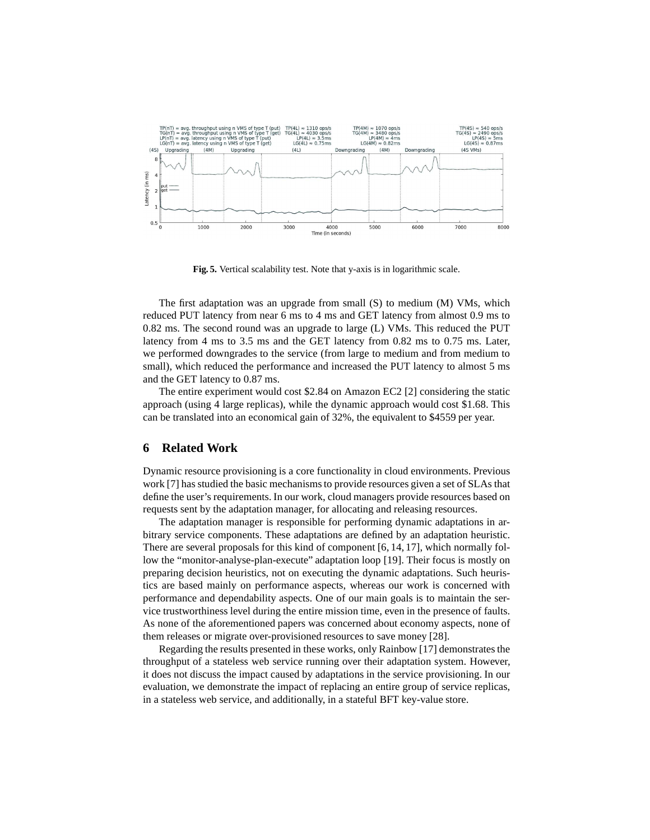

**Fig. 5.** Vertical scalability test. Note that y-axis is in logarithmic scale.

The first adaptation was an upgrade from small (S) to medium (M) VMs, which reduced PUT latency from near 6 ms to 4 ms and GET latency from almost 0.9 ms to 0.82 ms. The second round was an upgrade to large (L) VMs. This reduced the PUT latency from 4 ms to 3.5 ms and the GET latency from 0.82 ms to 0.75 ms. Later, we performed downgrades to the service (from large to medium and from medium to small), which reduced the performance and increased the PUT latency to almost 5 ms and the GET latency to 0.87 ms.

The entire experiment would cost \$2.84 on Amazon EC2 [2] considering the static approach (using 4 large replicas), while the dynamic approach would cost \$1.68. This can be translated into an economical gain of 32%, the equivalent to \$4559 per year.

### **6 Related Work**

Dynamic resource provisioning is a core functionality in cloud environments. Previous work [7] has studied the basic mechanisms to provide resources given a set of SLAs that define the user's requirements. In our work, cloud managers provide resources based on requests sent by the adaptation manager, for allocating and releasing resources.

The adaptation manager is responsible for performing dynamic adaptations in arbitrary service components. These adaptations are defined by an adaptation heuristic. There are several proposals for this kind of component [6, 14, 17], which normally follow the "monitor-analyse-plan-execute" adaptation loop [19]. Their focus is mostly on preparing decision heuristics, not on executing the dynamic adaptations. Such heuristics are based mainly on performance aspects, whereas our work is concerned with performance and dependability aspects. One of our main goals is to maintain the service trustworthiness level during the entire mission time, even in the presence of faults. As none of the aforementioned papers was concerned about economy aspects, none of them releases or migrate over-provisioned resources to save money [28].

Regarding the results presented in these works, only Rainbow [17] demonstrates the throughput of a stateless web service running over their adaptation system. However, it does not discuss the impact caused by adaptations in the service provisioning. In our evaluation, we demonstrate the impact of replacing an entire group of service replicas, in a stateless web service, and additionally, in a stateful BFT key-value store.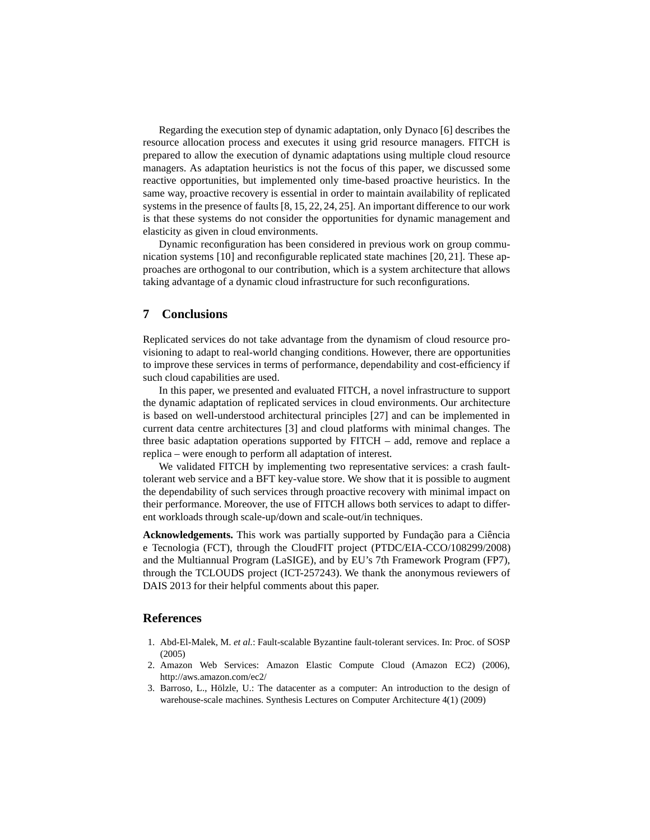Regarding the execution step of dynamic adaptation, only Dynaco [6] describes the resource allocation process and executes it using grid resource managers. FITCH is prepared to allow the execution of dynamic adaptations using multiple cloud resource managers. As adaptation heuristics is not the focus of this paper, we discussed some reactive opportunities, but implemented only time-based proactive heuristics. In the same way, proactive recovery is essential in order to maintain availability of replicated systems in the presence of faults [8, 15, 22, 24, 25]. An important difference to our work is that these systems do not consider the opportunities for dynamic management and elasticity as given in cloud environments.

Dynamic reconfiguration has been considered in previous work on group communication systems [10] and reconfigurable replicated state machines [20, 21]. These approaches are orthogonal to our contribution, which is a system architecture that allows taking advantage of a dynamic cloud infrastructure for such reconfigurations.

# **7 Conclusions**

Replicated services do not take advantage from the dynamism of cloud resource provisioning to adapt to real-world changing conditions. However, there are opportunities to improve these services in terms of performance, dependability and cost-efficiency if such cloud capabilities are used.

In this paper, we presented and evaluated FITCH, a novel infrastructure to support the dynamic adaptation of replicated services in cloud environments. Our architecture is based on well-understood architectural principles [27] and can be implemented in current data centre architectures [3] and cloud platforms with minimal changes. The three basic adaptation operations supported by FITCH – add, remove and replace a replica – were enough to perform all adaptation of interest.

We validated FITCH by implementing two representative services: a crash faulttolerant web service and a BFT key-value store. We show that it is possible to augment the dependability of such services through proactive recovery with minimal impact on their performance. Moreover, the use of FITCH allows both services to adapt to different workloads through scale-up/down and scale-out/in techniques.

Acknowledgements. This work was partially supported by Fundação para a Ciência e Tecnologia (FCT), through the CloudFIT project (PTDC/EIA-CCO/108299/2008) and the Multiannual Program (LaSIGE), and by EU's 7th Framework Program (FP7), through the TCLOUDS project (ICT-257243). We thank the anonymous reviewers of DAIS 2013 for their helpful comments about this paper.

### **References**

- 1. Abd-El-Malek, M. *et al.*: Fault-scalable Byzantine fault-tolerant services. In: Proc. of SOSP (2005)
- 2. Amazon Web Services: Amazon Elastic Compute Cloud (Amazon EC2) (2006), http://aws.amazon.com/ec2/
- 3. Barroso, L., Hölzle, U.: The datacenter as a computer: An introduction to the design of warehouse-scale machines. Synthesis Lectures on Computer Architecture 4(1) (2009)